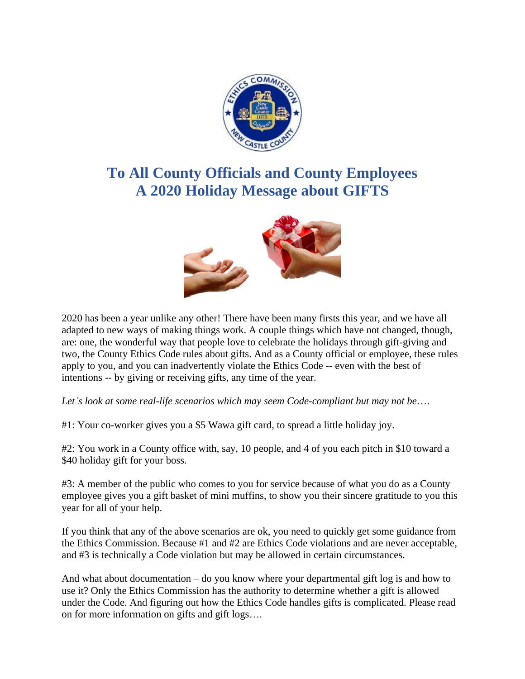

# **To All County Officials and County Employees A 2020 Holiday Message about GIFTS**



2020 has been a year unlike any other! There have been many firsts this year, and we have all adapted to new ways of making things work. A couple things which have not changed, though, are: one, the wonderful way that people love to celebrate the holidays through gift-giving and two, the County Ethics Code rules about gifts. And as a County official or employee, these rules apply to you, and you can inadvertently violate the Ethics Code -- even with the best of intentions -- by giving or receiving gifts, any time of the year.

*Let's look at some real-life scenarios which may seem Code-compliant but may not be*….

#1: Your co-worker gives you a \$5 Wawa gift card, to spread a little holiday joy.

#2: You work in a County office with, say, 10 people, and 4 of you each pitch in \$10 toward a \$40 holiday gift for your boss.

#3: A member of the public who comes to you for service because of what you do as a County employee gives you a gift basket of mini muffins, to show you their sincere gratitude to you this year for all of your help.

If you think that any of the above scenarios are ok, you need to quickly get some guidance from the Ethics Commission. Because #1 and #2 are Ethics Code violations and are never acceptable, and #3 is technically a Code violation but may be allowed in certain circumstances.

And what about documentation – do you know where your departmental gift log is and how to use it? Only the Ethics Commission has the authority to determine whether a gift is allowed under the Code. And figuring out how the Ethics Code handles gifts is complicated. Please read on for more information on gifts and gift logs….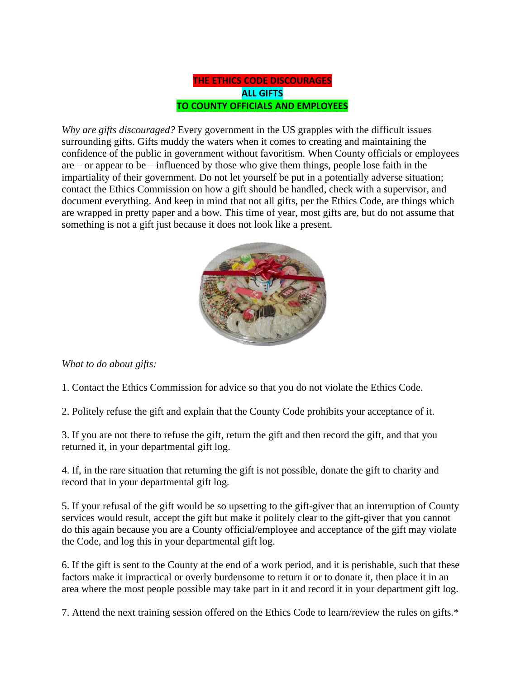# **THE ETHICS CODE DISCOURAGES ALL GIFTS TO COUNTY OFFICIALS AND EMPLOYEES**

*Why are gifts discouraged?* Every government in the US grapples with the difficult issues surrounding gifts. Gifts muddy the waters when it comes to creating and maintaining the confidence of the public in government without favoritism. When County officials or employees are – or appear to be – influenced by those who give them things, people lose faith in the impartiality of their government. Do not let yourself be put in a potentially adverse situation; contact the Ethics Commission on how a gift should be handled, check with a supervisor, and document everything. And keep in mind that not all gifts, per the Ethics Code, are things which are wrapped in pretty paper and a bow. This time of year, most gifts are, but do not assume that something is not a gift just because it does not look like a present.



# *What to do about gifts:*

1. Contact the Ethics Commission for advice so that you do not violate the Ethics Code.

2. Politely refuse the gift and explain that the County Code prohibits your acceptance of it.

3. If you are not there to refuse the gift, return the gift and then record the gift, and that you returned it, in your departmental gift log.

4. If, in the rare situation that returning the gift is not possible, donate the gift to charity and record that in your departmental gift log.

5. If your refusal of the gift would be so upsetting to the gift-giver that an interruption of County services would result, accept the gift but make it politely clear to the gift-giver that you cannot do this again because you are a County official/employee and acceptance of the gift may violate the Code, and log this in your departmental gift log.

6. If the gift is sent to the County at the end of a work period, and it is perishable, such that these factors make it impractical or overly burdensome to return it or to donate it, then place it in an area where the most people possible may take part in it and record it in your department gift log.

7. Attend the next training session offered on the Ethics Code to learn/review the rules on gifts.\*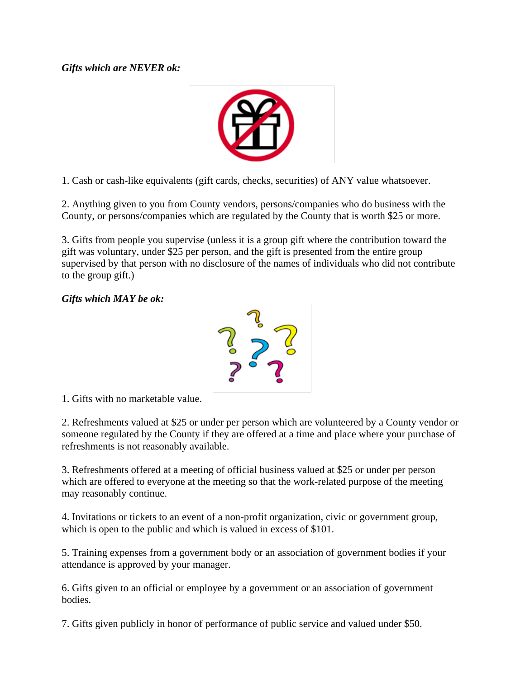### *Gifts which are NEVER ok:*



1. Cash or cash-like equivalents (gift cards, checks, securities) of ANY value whatsoever.

2. Anything given to you from County vendors, persons/companies who do business with the County, or persons/companies which are regulated by the County that is worth \$25 or more.

3. Gifts from people you supervise (unless it is a group gift where the contribution toward the gift was voluntary, under \$25 per person, and the gift is presented from the entire group supervised by that person with no disclosure of the names of individuals who did not contribute to the group gift.)

### *Gifts which MAY be ok:*



1. Gifts with no marketable value.

2. Refreshments valued at \$25 or under per person which are volunteered by a County vendor or someone regulated by the County if they are offered at a time and place where your purchase of refreshments is not reasonably available.

3. Refreshments offered at a meeting of official business valued at \$25 or under per person which are offered to everyone at the meeting so that the work-related purpose of the meeting may reasonably continue.

4. Invitations or tickets to an event of a non-profit organization, civic or government group, which is open to the public and which is valued in excess of \$101.

5. Training expenses from a government body or an association of government bodies if your attendance is approved by your manager.

6. Gifts given to an official or employee by a government or an association of government bodies.

7. Gifts given publicly in honor of performance of public service and valued under \$50.